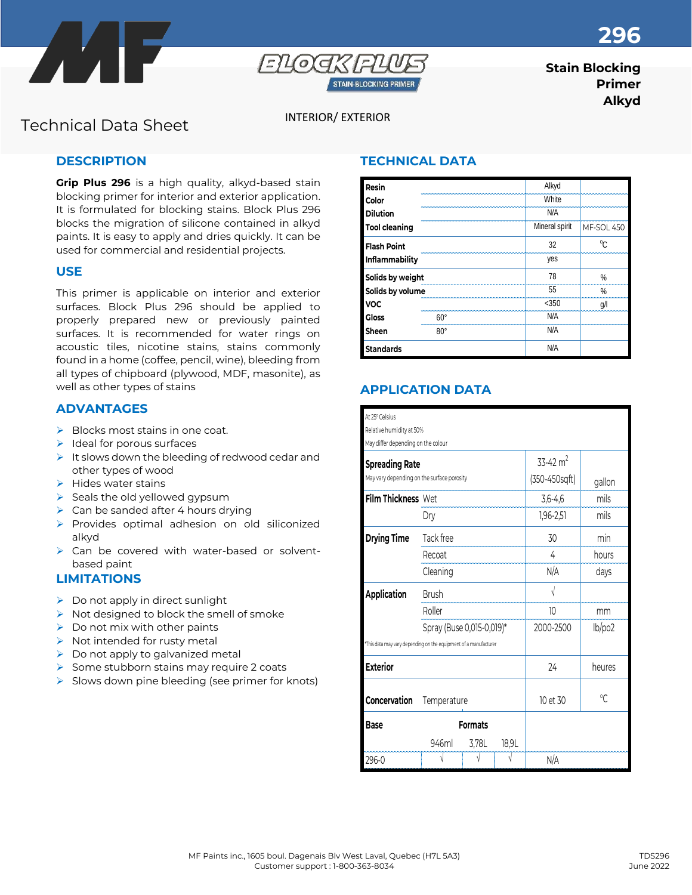



# **Stain Blocking Primer Alkyd**

# INTERIOR/ EXTERIOR Technical Data Sheet

## **DESCRIPTION**

**Grip Plus 296** is a high quality, alkyd-based stain blocking primer for interior and exterior application. It is formulated for blocking stains. Block Plus 296 blocks the migration of silicone contained in alkyd paints. It is easy to apply and dries quickly. It can be used for commercial and residential projects.

#### **USE**

This primer is applicable on interior and exterior surfaces. Block Plus 296 should be applied to properly prepared new or previously painted surfaces. It is recommended for water rings on acoustic tiles, nicotine stains, stains commonly found in a home (coffee, pencil, wine), bleeding from all types of chipboard (plywood, MDF, masonite), as well as other types of stains

### **ADVANTAGES**

- ➢ Blocks most stains in one coat.
- $\blacktriangleright$  Ideal for porous surfaces
- ➢ It slows down the bleeding of redwood cedar and other types of wood
- $\blacktriangleright$  Hides water stains
- ➢ Seals the old yellowed gypsum
- $\triangleright$  Can be sanded after 4 hours drying
- ➢ Provides optimal adhesion on old siliconized alkyd
- ➢ Can be covered with water-based or solventbased paint

## **LIMITATIONS**

- $\triangleright$  Do not apply in direct sunlight
- ➢ Not designed to block the smell of smoke
- $\triangleright$  Do not mix with other paints
- $\triangleright$  Not intended for rusty metal
- $\triangleright$  Do not apply to galvanized metal
- ➢ Some stubborn stains may require 2 coats
- $\triangleright$  Slows down pine bleeding (see primer for knots)

## **TECHNICAL DATA**

| Resin                |            | Alkyd          |            |
|----------------------|------------|----------------|------------|
| Color                |            | White          |            |
| <b>Dilution</b>      |            | N/A            |            |
| <b>Tool cleaning</b> |            | Mineral spirit | MF-SOL 450 |
| <b>Flash Point</b>   |            | 32             | $\sim$     |
| Inflammability       |            | yes            |            |
| Solids by weight     |            | 78             | %          |
| Solids by volume     |            | 55             | %          |
| <b>VOC</b>           |            | $<$ 350        | g/         |
| <b>Gloss</b>         | 60°        | N/A            |            |
| Sheen                | $80^\circ$ | N/A            |            |
| <b>Standards</b>     |            | N/A            |            |

# **APPLICATION DATA**

| At 25° Celsius                                                   |                           |       |        |               |                |  |  |  |
|------------------------------------------------------------------|---------------------------|-------|--------|---------------|----------------|--|--|--|
| Relative humidity at 50%                                         |                           |       |        |               |                |  |  |  |
| May differ depending on the colour                               |                           |       |        |               |                |  |  |  |
| <b>Spreading Rate</b>                                            |                           |       |        | 33-42 $m2$    |                |  |  |  |
| May vary depending on the surface porosity                       |                           |       |        | (350-450sqft) | gallon         |  |  |  |
| Film Thickness Wet                                               |                           |       |        | $3,6-4,6$     | mils           |  |  |  |
|                                                                  | Dry                       |       |        | $1,96 - 2,51$ | mils           |  |  |  |
| <b>Drying Time</b>                                               | Tack free                 |       |        | 30            | min            |  |  |  |
|                                                                  | Recoat                    |       |        | 4             | hours          |  |  |  |
|                                                                  | Cleaning                  |       |        | N/A           | days           |  |  |  |
| <b>Application</b>                                               | <b>Brush</b>              |       |        | V             |                |  |  |  |
|                                                                  | Roller                    |       |        | 10            | mm             |  |  |  |
|                                                                  | Spray (Buse 0,015-0,019)* |       |        | 2000-2500     | lb/po2         |  |  |  |
| *This data may vary depending on the equipment of a manufacturer |                           |       |        |               |                |  |  |  |
| <b>Exterior</b>                                                  |                           | 24    | heures |               |                |  |  |  |
|                                                                  |                           |       |        |               |                |  |  |  |
| Concervation                                                     | Temperature               |       |        | 10 et 30      | $\sqrt{\cdot}$ |  |  |  |
| <b>Base</b>                                                      | <b>Formats</b>            |       |        |               |                |  |  |  |
|                                                                  | 946ml                     | 3,78L | 18,9L  |               |                |  |  |  |
| 296-0                                                            |                           |       |        | N/A           |                |  |  |  |